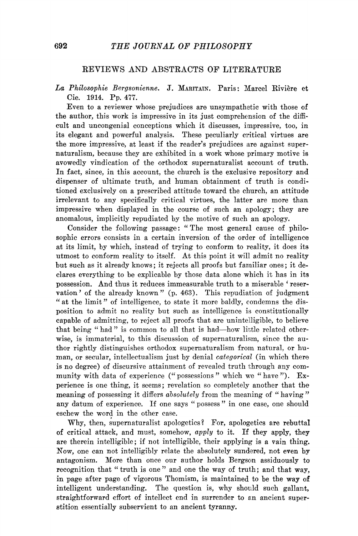## REVIEWS AND ABSTRACTS OF LITERATURE

## *La Philosophie Bergsonienne,* J. **MARITAIN**. Paris: Marcel Riviere et Cie. **1914.** Pp. **477.**

Even to a reviewer whose prejudices are unsympathetic with those of the author, this work is impressive in its just comprehension of the difficult and uncongenial conceptions which it discusses, impressive, too, in its elegant and powerful analysis. These peculiarly critical virtues are the more impressive, at least if the reader's prejudices are against supernaturalism, because they are exhibited in a work whose primary motive is avowedly vindication of the orthodox supernaturalist account of truth. In fact, since, in this account, the church is the exclusive repository and dispenser of ultimate truth, and human obtainment of truth is conditioned exclusively on a prescribed attitude toward the church, an attitude irrelevant to any specifically critical virtues, the latter are more than impressive when displayed in the course of such an apology; they are anomalous, implicitly repudiated by the motive of such an apology.

Consider the following passage: " The most general cause of philosophic errors consists in a certain inversion of the order of intelligence at its limit, by which, instead of trying to conform to reality, it does its utmost to conform reality to itself. At this point it will admit no reality but such as it already knows; it rejects all proofs but farailiar ones; it declares everything to be explicable by those data alone which it has in its possession. And thus it reduces immeasurable truth to a miserable ^ reservation' of the already known" (p. **463).** This repudiation of judgment " at the limit " of intelligence, to state it more baldly, condemns the disposition to admit no reality but such as intelligence is constitutionally capable of admitting, to reject all proofs that are unintelligible, to believe that being " had " is common to all that is had—how little related otherwise, is immaterial, to this discussion of supernaturalism, since the author rightly distinguishes orthodox supernaturalism from natural, or human, or secular, intellectualism just by denial *categorical* (in which there is no degree) of discursive attainment of revealed truth through any community with data of experience ("possessions" which we "have"). Experience is one thing, it seems; revelation so completely another that the meaning of possessing it differs *absolutely* from the meaning of " having " any datum of experience. If one says "possess" in one case, one should eschew the word in the other case.

Why, then, supernaturalist apologetics? For, apologetics are rebuttal of critical attack, and must, somehow, apply to it. If they apply, they are therein intelligible; if not intelligible, their applying is a vain thing. Now, one can not intelligibly relate the absolutely sundered, not even by antagonism. More than once our author holds Bergson assiduously to recognition that " truth is one" and one the way of truth; and that way, in page after page of vigorous Thomism, is maintained to be the way of intelligent understanding. The question is, why should such gallant, straightforward effort of intellect end in surrender to an ancient superstition essentially subservient to an ancient tyranny.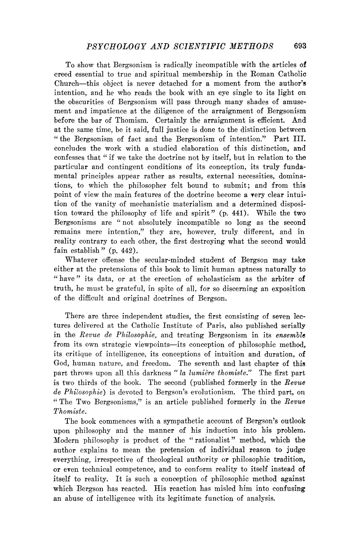To show that Bergsonism is radically incompatible with the articles **of**  creed essential to true and spiritual membership in the Roman Catholic Church—this object is never detached for a moment from the author**'s**  intention, and he who reads the book with an eye single to its light **on**  the obscurities of Bergsonism will pass through many shades of amusement and impatience at the diligence of the arraignment of Bergsonism before the bar of Thomism. Certainly the arraignment is efficient. And at the same time, be it said, full justice is done to the distinction between "the Bergsonism of fact and the Bergsonism of intention." Part III. concludes the work with a studied elaboration of this distinction, and confesses that " if we take the doctrine not by itself, but in relation to the particular and contingent conditions of its conception, its truly fundamental principles appear rather as results, external necessities, dominations, to which the philosopher felt bound to submit; and from this point of view the main features of the doctrine become a very clear intuition of the vanity of mechanistic materialism and a determined disposition toward the philosophy of life and spirit" (p. 441). While the two Bergsonisms are "not absolutely incompatible so long as the second remains mere intention," they are, however, truly different, and in reality contrary to each other, the first destroying what the second would fain establish" (p. 442).

Whatever offense the secular-minded student of Bergson may take either at the pretensions of this book to limit human aptness naturally **to**  " have" its data, or at the erection of scholasticism as the arbiter of truth, he must be grateful, in spite of all, for so discerning an exposition of the difficult and original doctrines of Bergson.

There are three independent studies, the first consisting of seven lectures delivered at the Catholic Institute of Paris, also published serially in the *Revue de Philosophie,* and treating Bergsonism in its *ensemble*  from its own strategic viewpoints—its conception of philosophic method, its critique of intelligence, its conceptions of intuition and duration, of God, human nature, and freedom. The seventh and last chapter of this part throws upon all this darkness "la lumière thomiste." The first part is two thirds of the book. The second (published formerly in the *Revue de Philosophie)* is devoted to Bergson's evolutionism. The third part, on " The Two Bergsonisms," is an article published formerly in the *Revue Thomiste.* 

The book commences with a sympathetic account of Bergson's outlook upon philosophy and the manner of his induction into his problem. Modern philosophy is product of the "rationalist" method, which the author explains to mean the pretension of individual reason to judge everything, irrespective of theological authority or philosophic tradition, or even technical competence, and to conform reality to itself instead **of**  itself to reality. It is such a conception of philosophic method against which Bergson has reacted. His reaction has misled him into confusing an abuse of intelligence with its legitimate function of analysis.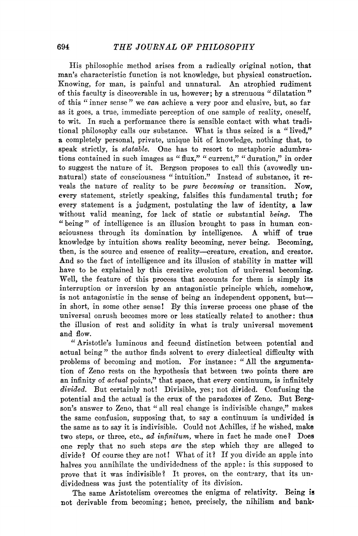His philosophic method arises from a radically original notion, that man's characteristic function is not knowledge, but physical construction. Knowing, for man, is painful and unnatural. An atrophied rudiment of this faculty is discoverable in us, however; by **a** strenuous " dilatation " of this " inner sense " we *can* achieve a very poor and elusive, but, so far as it goes, a true, immediate perception of one sample of reality, oneself, to wit. In such a performance there is sensible contact with what traditional philosophy calls our substance. What is thus seized is a "lived," a completely personal, private, unique bit of knowledge, nothing that, to speak strictly, is *statable.* One has to resort to metaphoric adumbrations contained in such images as " flux," " current," " duration," in order to suggest the nature of it. Bergson proposes to call this (avowedly unnatural) state of consciousness " intuition." Instead of substance, it reveals the nature of reality to be *pure becoming* or transition. Now, every statement, strictly speaking, falsifies this fundamental truth; for every statement is a judgment, postulating the law of identity, **a** law without valid meaning, for lack of static or substantial *being.* The "being" of intelligence is an illusion brought to pass in human consciousness through its domination by intelligence. A whiff of true knowledge by intuition shows reality becoming, never being. Becoming, then, is the source and essence of reality—creature, creation, and creator. And so the fact of intelligence and its illusion of stability in matter will have to be explained by this creative evolution of universal becoming. Well, the feature of this process that accounts for them is simply its interruption or inversion by an antagonistic principle which, somehow, is not antagonistic in the sense of being an independent opponent, but in short, in some other sense! By this inverse process one phase of the universal onrush becomes more or less statically related to another: thus the illusion of rest and solidity in what is truly universal movement and flow.

" Aristotle's luminous and fecund distinction between potential and actual being" the author finds solvent to every dialectical difficulty with problems of becoming and motion. For instance: "All the argumentation of Zeno rests on the hypothesis that between two points there are an infinity of *actual* points," that space, that every continuum, is infinitely *divided.* But certainly not! Divisible, yes; not divided. Confusing the potential and the actual is the crux of the paradoxes of Zeno. But Bergson's answer to Zeno, that " all real change is indivisible change," makes the same confusion, supposing that, to say **a** continuum is imdivided is the same as to say it is indivisible. Could not Achilles, if he wished, make two steps, or three, etc., *ad infinitum,* where in fact he made one? Does one reply that no such steps *are* the step which they are alleged to divide? Of course they are not! What of it? If you divide an apple into halves you annihilate the undividedness of the apple: is this supposed to prove that it was indivisible? It proves, on the contrary, that its undividedness was just the potentiality of its division.

The same Aristotelism overcomes the enigma of relativity. Being is not derivable from becoming; hence, precisely, the nihilism and bank-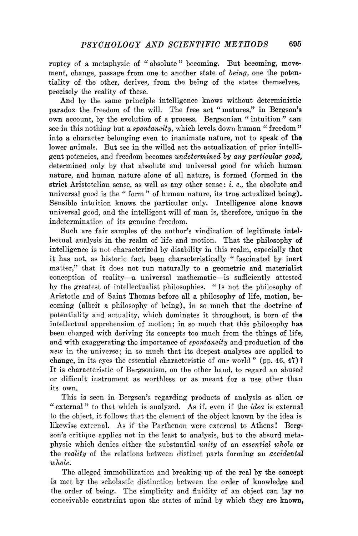ruptcy of a metaphysic of " absolute " becoming. But becoming, movement, change, passage from one to another state of *leing,* one the potentiality of the other, derives, from the being of the states themselves, precisely the reality of these.

And by the same principle intelligence knows without deterministic paradox the freedom of the will. The free act "matures," in Bergson's own account, by the evolution of a process. Bergsonian " intuition " can see in this nothing but a *spontaneity,* which levels down human " freedom " into a character belonging even to inanimate nature, not to speak of the lower animals. But see in the willed act the actualization of prior intelligent potencies, and freedom becomes *undetermined hy any particular good,*  determined only by that absolute and universal good for which human nature, and human nature alone of all nature, is formed (formed in the strict Aristotelian sense, as well as any other sense: *i. e,,* the absolute and universal good is the "form" of human nature, its true actualized being). Sensible intuition knows the particular only. Intelligence alone knows universal good, and the intelligent will of man is, therefore, unique in the indetermination of its genuine freedom.

Such are fair samples of the author's vindication of legitimate intellectual analysis in the realm of life and motion. That the philosophy of intelligence is not characterized by disability in this realm, especially that it has not, as historic fact, been characteristically "fascinated by inert matter," that it does not run naturally to a geometric and materialist conception of reality—a universal mathematic—is sufficiently attested by the greatest of intellectualist philosophies. " Is not the philosophy of Aristotle and of Saint Thomas before all a philosophy of life, motion, becoming (albeit a philosophy of being), in so much that the doctrine of potentiality and actuality, which dominates it throughout, is born of the intellectual apprehension of motion; in so much that this philosophy has been charged with deriving its concepts too much from the things of life, and with exaggerating the importance of *spontaneity* and production of the *new* in the universe; in so much that its deepest analyses are applied to change, in its eyes the essential characteristic of our world " (pp. 46, **47) ?**  It is characteristic of Bergsonism, on the other hand, to regard an abused or difficult instrument as worthless or as meant for a use other than its own.

This is seen in Bergson's regarding products of analysis as alien or " external" to that which is analyzed. As if, even if the *idea* is external to the object, it follows that the element of the object known by the idea is likewise external. As if the Parthenon were external to Athens! Bergson's critique applies not in the least to analysis, but to the absurd metaphysic which denies either the substantial *unity* of an *essential whole or*  the *reality* of the relations between distinct parts forming an *accidental whole.* 

The alleged immobilization and breaking up of the real by the concept is met by the scholastic distinction between the order of knowledge and the order of being. The simplicity and fluidity of an object can lay no conceivable constraint upon the states of mind by which they are known,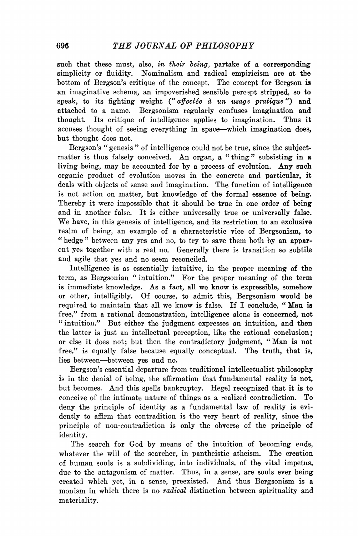such that these must, also, *in their being,* partake of **a** corresponding simplicity or fluidity. Nominalism and radical empiricism are **at** the bottom of Bergson's critique of the concept. The concept for Bergson **is**  an imaginative schema, an impoverished sensible percept stripped, so **to**  speak, to its fighting weight (" affectée à un usage pratique") and attached to a name. Bergsonism regularly confuses imagination and thought. Its critique of intelligence applies to imagination. Thus it accuses thought of seeing everything in space—which imagination does, but thought does not.

Bergson's " genesis" of intelligence could not be true, since the subjectmatter is thus falsely conceived. An organ, a "thing" subsisting in a living being, may be accounted for by a process of evolution. Any such organic product of evolution moves in the concrete and particular, it deals with objects of sense and imagination. The function of intelligence is not action on matter, but knowledge of the formal essence of being. Thereby it were impossible that it should be true in one order of **being**  and in another false. It is either universally true or universally false. We have, in this genesis of intelligence, and its restriction to an exclusive realm of being, an example of a characteristic vice of Bergsonism, **to**  " hedge" between any yes and no, to try to save them both by an apparent yes together with a real no. Generally there is transition so subtile and agile that yes and no seem reconciled.

Intelligence is as essentially intuitive, in the proper meaning of the term, as Bergsonian " intuition." For the proper meaning of the term is immediate knowledge. As a fact, all we know is expressible, **somehow**  or other, intelligibly. Of course, to admit this, Bergsonism would be required to maintain that all we know is false. If I conclude, "Man is free," from a rational demonstration, intelligence alone is concerned, not "intuition." But either the judgment expresses an intuition, and then the latter is just an intellectual perception, like the rational conclusion; or else it does not; but then the contradictory judgment, " Man is not free," is equally false because equally conceptual. The truth, that is, lies between—^between yes and no.

Bergson's essential departure from traditional intellectualist philosophy is in the denial of being, the affirmation that fundamental reality is not, but becomes. And this spells bankruptcy. Hegel recognized that it is to conceive of the intimate nature of things as a realized contradiction. To deny the principle of identity as a fundamental law of reality is evidently to affirm that contradition is the very heart of reality, since the principle of non-contradiction is only the obverse of the principle of identity.

The search for God by means of the intuition of becoming ends, whatever the will of the searcher, in pantheistic atheism. The creation of human souls is a subdividing, into individuals, of the vital impetus, due to the antagonism of matter. Thus, in a sense, are souls ever being created which yet, in a sense, preexisted. And thus Bergsonism is a monism in which there is no *radical* distinction between spirituality and materiality.